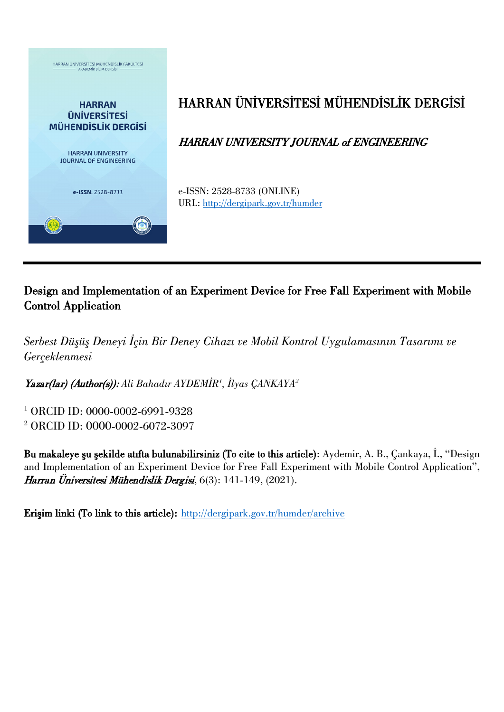

# HARRAN ÜNİVERSİTESİ MÜHENDİSLİK DERGİSİ

HARRAN UNIVERSITY JOURNAL of ENGINEERING

e-ISSN: 2528-8733 (ONLINE) URL:<http://dergipark.gov.tr/humder>

# Design and Implementation of an Experiment Device for Free Fall Experiment with Mobile Control Application

*Serbest Düşüş Deneyi İçin Bir Deney Cihazı ve Mobil Kontrol Uygulamasının Tasarımı ve Gerçeklenmesi*

Yazar(lar) (Author(s)): *Ali Bahadır AYDEMİR<sup>1</sup> , İlyas ÇANKAYA<sup>2</sup>*

<sup>1</sup> ORCID ID: 0000-0002-6991-9328 <sup>2</sup> ORCID ID: 0000-0002-6072-3097

Bu makaleye şu şekilde atıfta bulunabilirsiniz (To cite to this article): Aydemir, A. B., Çankaya, İ., "Design and Implementation of an Experiment Device for Free Fall Experiment with Mobile Control Application", Harran Üniversitesi Mühendislik Dergisi, 6(3): 141-149, (2021).

Erişim linki (To link to this article): <http://dergipark.gov.tr/humder/archive>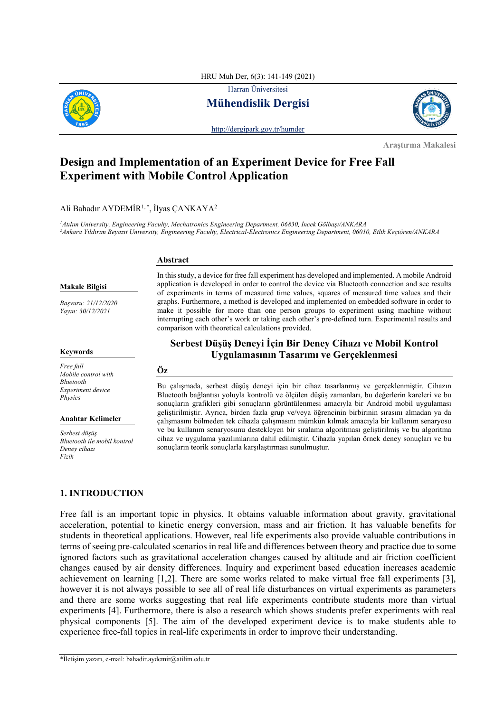HRU Muh Der, 6(3): 141-149 (2021)

Harran Üniversitesi



**Mühendislik Dergisi**

<http://dergipark.gov.tr/humder>



**Araştırma Makalesi** 

# **Design and Implementation of an Experiment Device for Free Fall Experiment with Mobile Control Application**

Ali Bahadır AYDEMİR<sup>1,\*</sup>, İlyas ÇANKAYA<sup>2</sup>

*1 Atılım University, Engineering Faculty, Mechatronics Engineering Department, 06830, İncek Gölbaşı/ANKARA 2 Ankara Yıldırım Beyazıt University, Engineering Faculty, Electrical-Electronics Engineering Department, 06010, Etlik Keçiören/ANKARA*

# **Makale Bilgisi**

*Başvuru: 21/12/2020 Yayın: 30/12/2021*

#### **Keywords**

*Free fall Mobile control with Bluetooth Experiment device Physics*

#### **Anahtar Kelimeler**

*Serbest düşüş Bluetooth ile mobil kontrol Deney cihazı Fizik*

# **Abstract**

In this study, a device for free fall experiment has developed and implemented. A mobile Android application is developed in order to control the device via Bluetooth connection and see results of experiments in terms of measured time values, squares of measured time values and their graphs. Furthermore, a method is developed and implemented on embedded software in order to make it possible for more than one person groups to experiment using machine without interrupting each other's work or taking each other's pre-defined turn. Experimental results and comparison with theoretical calculations provided.

# **Serbest Düşüş Deneyi İçin Bir Deney Cihazı ve Mobil Kontrol Uygulamasının Tasarımı ve Gerçeklenmesi**

## **Öz**

Bu çalışmada, serbest düşüş deneyi için bir cihaz tasarlanmış ve gerçeklenmiştir. Cihazın Bluetooth bağlantısı yoluyla kontrolü ve ölçülen düşüş zamanları, bu değerlerin kareleri ve bu sonuçların grafikleri gibi sonuçların görüntülenmesi amacıyla bir Android mobil uygulaması geliştirilmiştir. Ayrıca, birden fazla grup ve/veya öğrencinin birbirinin sırasını almadan ya da çalışmasını bölmeden tek cihazla çalışmasını mümkün kılmak amacıyla bir kullanım senaryosu ve bu kullanım senaryosunu destekleyen bir sıralama algoritması geliştirilmiş ve bu algoritma cihaz ve uygulama yazılımlarına dahil edilmiştir. Cihazla yapılan örnek deney sonuçları ve bu sonuçların teorik sonuçlarla karşılaştırması sunulmuştur.

# **1. INTRODUCTION**

Free fall is an important topic in physics. It obtains valuable information about gravity, gravitational acceleration, potential to kinetic energy conversion, mass and air friction. It has valuable benefits for students in theoretical applications. However, real life experiments also provide valuable contributions in terms of seeing pre-calculated scenarios in real life and differences between theory and practice due to some ignored factors such as gravitational acceleration changes caused by altitude and air friction coefficient changes caused by air density differences. Inquiry and experiment based education increases academic achievement on learning [1,2]. There are some works related to make virtual free fall experiments [3], however it is not always possible to see all of real life disturbances on virtual experiments as parameters and there are some works suggesting that real life experiments contribute students more than virtual experiments [4]. Furthermore, there is also a research which shows students prefer experiments with real physical components [5]. The aim of the developed experiment device is to make students able to experience free-fall topics in real-life experiments in order to improve their understanding.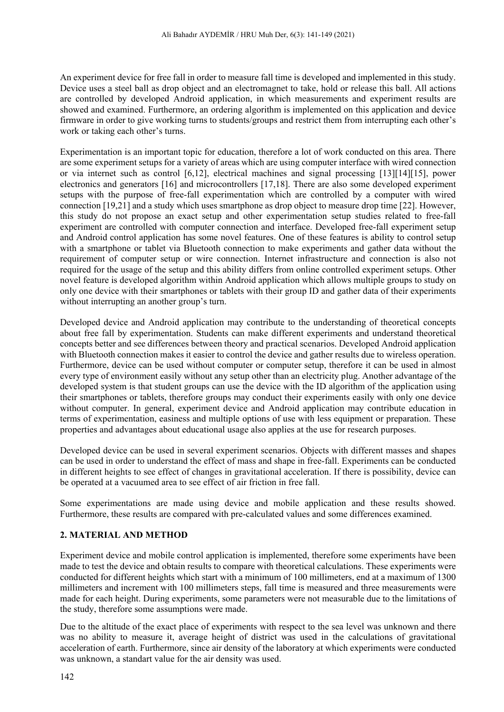An experiment device for free fall in order to measure fall time is developed and implemented in this study. Device uses a steel ball as drop object and an electromagnet to take, hold or release this ball. All actions are controlled by developed Android application, in which measurements and experiment results are showed and examined. Furthermore, an ordering algorithm is implemented on this application and device firmware in order to give working turns to students/groups and restrict them from interrupting each other's work or taking each other's turns.

Experimentation is an important topic for education, therefore a lot of work conducted on this area. There are some experiment setups for a variety of areas which are using computer interface with wired connection or via internet such as control [6,12], electrical machines and signal processing [13][14][15], power electronics and generators [16] and microcontrollers [17,18]. There are also some developed experiment setups with the purpose of free-fall experimentation which are controlled by a computer with wired connection [19,21] and a study which uses smartphone as drop object to measure drop time [22]. However, this study do not propose an exact setup and other experimentation setup studies related to free-fall experiment are controlled with computer connection and interface. Developed free-fall experiment setup and Android control application has some novel features. One of these features is ability to control setup with a smartphone or tablet via Bluetooth connection to make experiments and gather data without the requirement of computer setup or wire connection. Internet infrastructure and connection is also not required for the usage of the setup and this ability differs from online controlled experiment setups. Other novel feature is developed algorithm within Android application which allows multiple groups to study on only one device with their smartphones or tablets with their group ID and gather data of their experiments without interrupting an another group's turn.

Developed device and Android application may contribute to the understanding of theoretical concepts about free fall by experimentation. Students can make different experiments and understand theoretical concepts better and see differences between theory and practical scenarios. Developed Android application with Bluetooth connection makes it easier to control the device and gather results due to wireless operation. Furthermore, device can be used without computer or computer setup, therefore it can be used in almost every type of environment easily without any setup other than an electricity plug. Another advantage of the developed system is that student groups can use the device with the ID algorithm of the application using their smartphones or tablets, therefore groups may conduct their experiments easily with only one device without computer. In general, experiment device and Android application may contribute education in terms of experimentation, easiness and multiple options of use with less equipment or preparation. These properties and advantages about educational usage also applies at the use for research purposes.

Developed device can be used in several experiment scenarios. Objects with different masses and shapes can be used in order to understand the effect of mass and shape in free-fall. Experiments can be conducted in different heights to see effect of changes in gravitational acceleration. If there is possibility, device can be operated at a vacuumed area to see effect of air friction in free fall.

Some experimentations are made using device and mobile application and these results showed. Furthermore, these results are compared with pre-calculated values and some differences examined.

# **2. MATERIAL AND METHOD**

Experiment device and mobile control application is implemented, therefore some experiments have been made to test the device and obtain results to compare with theoretical calculations. These experiments were conducted for different heights which start with a minimum of 100 millimeters, end at a maximum of 1300 millimeters and increment with 100 millimeters steps, fall time is measured and three measurements were made for each height. During experiments, some parameters were not measurable due to the limitations of the study, therefore some assumptions were made.

Due to the altitude of the exact place of experiments with respect to the sea level was unknown and there was no ability to measure it, average height of district was used in the calculations of gravitational acceleration of earth. Furthermore, since air density of the laboratory at which experiments were conducted was unknown, a standart value for the air density was used.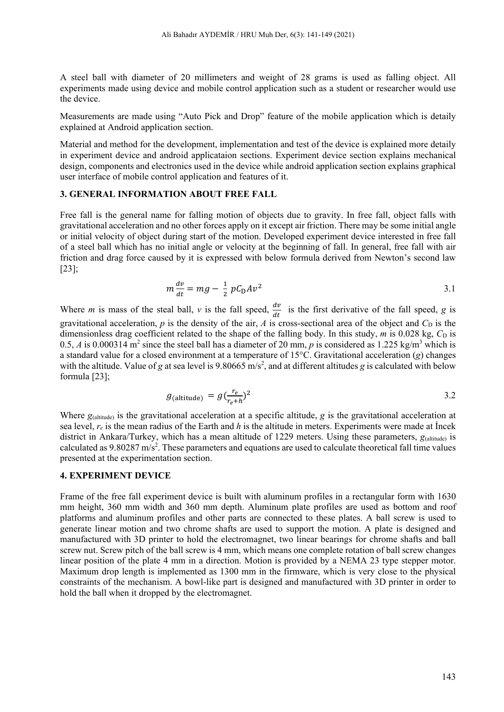A steel ball with diameter of 20 millimeters and weight of 28 grams is used as falling object. All experiments made using device and mobile control application such as a student or researcher would use the device.

Measurements are made using "Auto Pick and Drop" feature of the mobile application which is detaily explained at Android application section.

Material and method for the development, implementation and test of the device is explained more detaily in experiment device and android applicataion sections. Experiment device section explains mechanical design, components and electronics used in the device while android application section explains graphical user interface of mobile control application and features of it.

#### **3. GENERAL INFORMATION ABOUT FREE FALL**

Free fall is the general name for falling motion of objects due to gravity. In free fall, object falls with gravitational acceleration and no other forces apply on it except air friction. There may be some initial angle or initial velocity of object during start of the motion. Developed experiment device interested in free fall of a steel ball which has no initial angle or velocity at the beginning of fall. In general, free fall with air friction and drag force caused by it is expressed with below formula derived from Newton's second law [23];

$$
m\frac{dv}{dt} = mg - \frac{1}{2} pC_D A v^2
$$

Where *m* is mass of the steal ball, *v* is the fall speed,  $\frac{dv}{dt}$  is the first derivative of the fall speed, *g* is gravitational acceleration,  $p$  is the density of the air,  $A$  is cross-sectional area of the object and  $C_D$  is the dimensionless drag coefficient related to the shape of the falling body. In this study,  $m$  is 0.028 kg,  $C<sub>D</sub>$  is 0.5, *A* is 0.000314 m<sup>2</sup> since the steel ball has a diameter of 20 mm, *p* is considered as 1.225 kg/m<sup>3</sup> which is a standard value for a closed environment at a temperature of 15°C. Gravitational acceleration (*g*) changes with the altitude. Value of *g* at sea level is 9.80665 m/s<sup>2</sup>, and at different altitudes *g* is calculated with below formula [23];

$$
g_{\text{(altitude)}} = g \left( \frac{r_e}{r_e + h} \right)^2 \tag{3.2}
$$

Where  $g_{\text{(altitude)}}$  is the gravitational acceleration at a specific altitude,  $g$  is the gravitational acceleration at sea level,  $r_e$  is the mean radius of the Earth and h is the altitude in meters. Experiments were made at Incek district in Ankara/Turkey, which has a mean altitude of 1229 meters. Using these parameters,  $g_{(altitude)}$  is calculated as  $9.80287 \text{ m/s}^2$ . These parameters and equations are used to calculate theoretical fall time values presented at the experimentation section.

# **4. EXPERIMENT DEVICE**

Frame of the free fall experiment device is built with aluminum profiles in a rectangular form with 1630 mm height, 360 mm width and 360 mm depth. Aluminum plate profiles are used as bottom and roof platforms and aluminum profiles and other parts are connected to these plates. A ball screw is used to generate linear motion and two chrome shafts are used to support the motion. A plate is designed and manufactured with 3D printer to hold the electromagnet, two linear bearings for chrome shafts and ball screw nut. Screw pitch of the ball screw is 4 mm, which means one complete rotation of ball screw changes linear position of the plate 4 mm in a direction. Motion is provided by a NEMA 23 type stepper motor. Maximum drop length is implemented as 1300 mm in the firmware, which is very close to the physical constraints of the mechanism. A bowl-like part is designed and manufactured with 3D printer in order to hold the ball when it dropped by the electromagnet.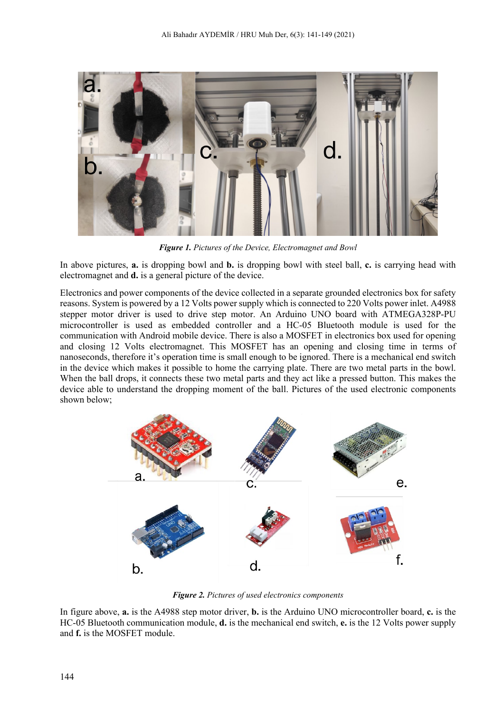

*Figure 1. Pictures of the Device, Electromagnet and Bowl*

In above pictures, **a.** is dropping bowl and **b.** is dropping bowl with steel ball, **c.** is carrying head with electromagnet and **d.** is a general picture of the device.

Electronics and power components of the device collected in a separate grounded electronics box for safety reasons. System is powered by a 12 Volts power supply which is connected to 220 Volts power inlet. A4988 stepper motor driver is used to drive step motor. An Arduino UNO board with ATMEGA328P-PU microcontroller is used as embedded controller and a HC-05 Bluetooth module is used for the communication with Android mobile device. There is also a MOSFET in electronics box used for opening and closing 12 Volts electromagnet. This MOSFET has an opening and closing time in terms of nanoseconds, therefore it's operation time is small enough to be ignored. There is a mechanical end switch in the device which makes it possible to home the carrying plate. There are two metal parts in the bowl. When the ball drops, it connects these two metal parts and they act like a pressed button. This makes the device able to understand the dropping moment of the ball. Pictures of the used electronic components shown below;



*Figure 2. Pictures of used electronics components*

In figure above, **a.** is the A4988 step motor driver, **b.** is the Arduino UNO microcontroller board, **c.** is the HC-05 Bluetooth communication module, **d.** is the mechanical end switch, **e.** is the 12 Volts power supply and **f.** is the MOSFET module.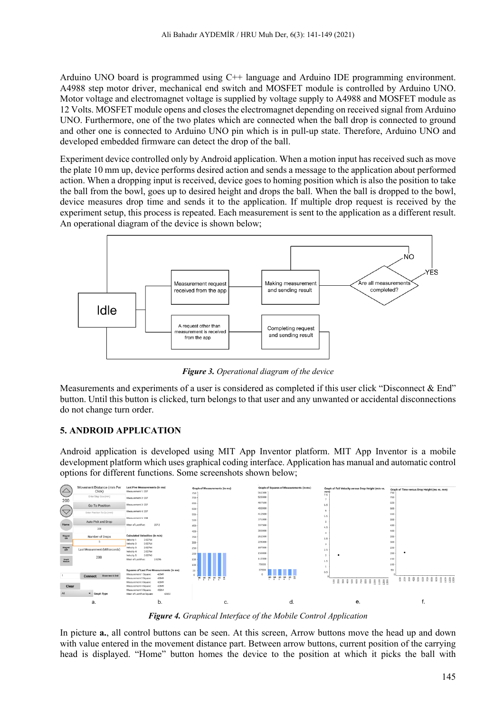Arduino UNO board is programmed using C++ language and Arduino IDE programming environment. A4988 step motor driver, mechanical end switch and MOSFET module is controlled by Arduino UNO. Motor voltage and electromagnet voltage is supplied by voltage supply to A4988 and MOSFET module as 12 Volts. MOSFET module opens and closes the electromagnet depending on received signal from Arduino UNO. Furthermore, one of the two plates which are connected when the ball drop is connected to ground and other one is connected to Arduino UNO pin which is in pull-up state. Therefore, Arduino UNO and developed embedded firmware can detect the drop of the ball.

Experiment device controlled only by Android application. When a motion input has received such as move the plate 10 mm up, device performs desired action and sends a message to the application about performed action. When a dropping input is received, device goes to homing position which is also the position to take the ball from the bowl, goes up to desired height and drops the ball. When the ball is dropped to the bowl, device measures drop time and sends it to the application. If multiple drop request is received by the experiment setup, this process is repeated. Each measurement is sent to the application as a different result. An operational diagram of the device is shown below;



*Figure 3. Operational diagram of the device*

Measurements and experiments of a user is considered as completed if this user click "Disconnect & End" button. Until this button is clicked, turn belongs to that user and any unwanted or accidental disconnections do not change turn order.

# **5. ANDROID APPLICATION**

Android application is developed using MIT App Inventor platform. MIT App Inventor is a mobile development platform which uses graphical coding interface. Application has manual and automatic control options for different functions. Some screenshots shown below;



*Figure 4. Graphical Interface of the Mobile Control Application*

In picture **a.**, all control buttons can be seen. At this screen, Arrow buttons move the head up and down with value entered in the movement distance part. Between arrow buttons, current position of the carrying head is displayed. "Home" button homes the device to the position at which it picks the ball with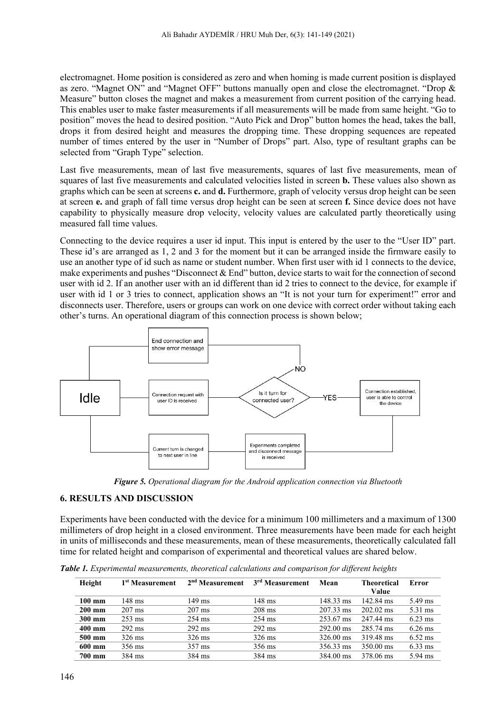electromagnet. Home position is considered as zero and when homing is made current position is displayed as zero. "Magnet ON" and "Magnet OFF" buttons manually open and close the electromagnet. "Drop & Measure" button closes the magnet and makes a measurement from current position of the carrying head. This enables user to make faster measurements if all measurements will be made from same height. "Go to position" moves the head to desired position. "Auto Pick and Drop" button homes the head, takes the ball, drops it from desired height and measures the dropping time. These dropping sequences are repeated number of times entered by the user in "Number of Drops" part. Also, type of resultant graphs can be selected from "Graph Type" selection.

Last five measurements, mean of last five measurements, squares of last five measurements, mean of squares of last five measurements and calculated velocities listed in screen **b.** These values also shown as graphs which can be seen at screens **c.** and **d.** Furthermore, graph of velocity versus drop height can be seen at screen **e.** and graph of fall time versus drop height can be seen at screen **f.** Since device does not have capability to physically measure drop velocity, velocity values are calculated partly theoretically using measured fall time values.

Connecting to the device requires a user id input. This input is entered by the user to the "User ID" part. These id's are arranged as 1, 2 and 3 for the moment but it can be arranged inside the firmware easily to use an another type of id such as name or student number. When first user with id 1 connects to the device, make experiments and pushes "Disconnect & End" button, device starts to wait for the connection of second user with id 2. If an another user with an id different than id 2 tries to connect to the device, for example if user with id 1 or 3 tries to connect, application shows an "It is not your turn for experiment!" error and disconnects user. Therefore, users or groups can work on one device with correct order without taking each other's turns. An operational diagram of this connection process is shown below;



*Figure 5. Operational diagram for the Android application connection via Bluetooth*

## **6. RESULTS AND DISCUSSION**

Experiments have been conducted with the device for a minimum 100 millimeters and a maximum of 1300 millimeters of drop height in a closed environment. Three measurements have been made for each height in units of milliseconds and these measurements, mean of these measurements, theoretically calculated fall time for related height and comparison of experimental and theoretical values are shared below.

*Table 1. Experimental measurements, theoretical calculations and comparison for different heights*

| Height           | 1 <sup>st</sup> Measurement | 2 <sup>nd</sup> Measurement | 3 <sup>rd</sup> Measurement | Mean                | <b>Theoretical</b><br>Value | Error             |
|------------------|-----------------------------|-----------------------------|-----------------------------|---------------------|-----------------------------|-------------------|
| $100 \text{ mm}$ | 148 ms                      | 149 ms                      | $148 \text{ ms}$            | 148.33 ms           | 142.84 ms                   | $5.49$ ms         |
| $200$ mm         | $207 \text{ ms}$            | $207 \text{ ms}$            | $208$ ms                    | $207.33 \text{ ms}$ | $202.02 \text{ ms}$         | $5.31$ ms         |
| $300 \text{ mm}$ | $253 \text{ ms}$            | $254 \text{ ms}$            | $254 \text{ ms}$            | 253.67 ms           | 247.44 ms                   | $6.23$ ms         |
| $400$ mm         | $292 \text{ ms}$            | $292 \text{ ms}$            | $292 \text{ ms}$            | $292.00 \text{ ms}$ | 285.74 ms                   | $6.26$ ms         |
| $500$ mm         | $326 \text{ ms}$            | $326 \text{ ms}$            | $326 \text{ ms}$            | $326.00 \text{ ms}$ | 319.48 ms                   | $6.52 \text{ ms}$ |
| 600 mm           | $356 \text{ ms}$            | $357 \text{ ms}$            | 356 ms                      | $356.33 \text{ ms}$ | $350.00$ ms                 | $6.33$ ms         |
| 700 mm           | 384 ms                      | 384 ms                      | 384 ms                      | 384.00 ms           | 378.06 ms                   | $5.94$ ms         |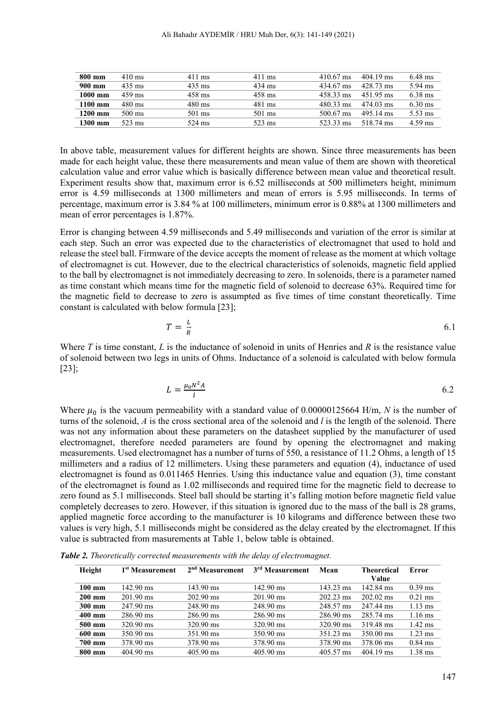#### Ali Bahadır AYDEMİR / HRU Muh Der, 6(3): 141-149 (2021)

| 800 mm    | $410 \text{ ms}$ | 411 ms           | 411 ms           | $410.67$ ms         | $404.19 \text{ ms}$ | $6.48$ ms         |
|-----------|------------------|------------------|------------------|---------------------|---------------------|-------------------|
| 900 mm    | $435 \text{ ms}$ | $435 \text{ ms}$ | $434 \text{ ms}$ | 434.67 ms           | 428.73 ms           | $5.94$ ms         |
| $1000$ mm | $459$ ms         | 458 ms           | 458 ms           | $458.33 \text{ ms}$ | 451.95 ms           | $6.38$ ms         |
| $1100$ mm | $480 \text{ ms}$ | $480 \text{ ms}$ | 481 ms           | 480.33 ms           | 474.03 ms           | $6.30$ ms         |
| $1200$ mm | $500 \text{ ms}$ | $501 \text{ ms}$ | 501 ms           | 500.67 ms           | 495.14 ms           | $5.53$ ms         |
| 1300 mm   | 523 ms           | 524 ms           | 523 ms           | 523.33 ms           | 518.74 ms           | $4.59 \text{ ms}$ |
|           |                  |                  |                  |                     |                     |                   |

In above table, measurement values for different heights are shown. Since three measurements has been made for each height value, these there measurements and mean value of them are shown with theoretical calculation value and error value which is basically difference between mean value and theoretical result. Experiment results show that, maximum error is 6.52 milliseconds at 500 millimeters height, minimum error is 4.59 milliseconds at 1300 millimeters and mean of errors is 5.95 milliseconds. In terms of percentage, maximum error is 3.84 % at 100 millimeters, minimum error is 0.88% at 1300 millimeters and mean of error percentages is 1.87%.

Error is changing between 4.59 milliseconds and 5.49 milliseconds and variation of the error is similar at each step. Such an error was expected due to the characteristics of electromagnet that used to hold and release the steel ball. Firmware of the device accepts the moment of release as the moment at which voltage of electromagnet is cut. However, due to the electrical characteristics of solenoids, magnetic field applied to the ball by electromagnet is not immediately decreasing to zero. In solenoids, there is a parameter named as time constant which means time for the magnetic field of solenoid to decrease 63%. Required time for the magnetic field to decrease to zero is assumpted as five times of time constant theoretically. Time constant is calculated with below formula [23];

$$
T = \frac{L}{R}
$$

Where *T* is time constant, *L* is the inductance of solenoid in units of Henries and *R* is the resistance value of solenoid between two legs in units of Ohms. Inductance of a solenoid is calculated with below formula [23];

$$
L = \frac{\mu_0 N^2 A}{l} \tag{6.2}
$$

Where  $\mu_0$  is the vacuum permeability with a standard value of 0.00000125664 H/m, *N* is the number of turns of the solenoid, *A* is the cross sectional area of the solenoid and *l* is the length of the solenoid. There was not any information about these parameters on the datasheet supplied by the manufacturer of used electromagnet, therefore needed parameters are found by opening the electromagnet and making measurements. Used electromagnet has a number of turns of 550, a resistance of 11.2 Ohms, a length of 15 millimeters and a radius of 12 millimeters. Using these parameters and equation (4), inductance of used electromagnet is found as 0.011465 Henries. Using this inductance value and equation (3), time constant of the electromagnet is found as 1.02 milliseconds and required time for the magnetic field to decrease to zero found as 5.1 milliseconds. Steel ball should be starting it's falling motion before magnetic field value completely decreases to zero. However, if this situation is ignored due to the mass of the ball is 28 grams, applied magnetic force according to the manufacturer is 10 kilograms and difference between these two values is very high, 5.1 milliseconds might be considered as the delay created by the electromagnet. If this value is subtracted from masurements at Table 1, below table is obtained.

*Table 2. Theoretically corrected measurements with the delay of electromagnet.*

| Height           | 1 <sup>st</sup> Measurement | 2 <sup>nd</sup> Measurement | 3 <sup>rd</sup> Measurement | Mean                | <b>Theoretical</b>  | Error             |
|------------------|-----------------------------|-----------------------------|-----------------------------|---------------------|---------------------|-------------------|
|                  |                             |                             |                             |                     | Value               |                   |
| $100 \text{ mm}$ | $142.90 \text{ ms}$         | 143.90 ms                   | 142.90 ms                   | $143.23 \text{ ms}$ | 142.84 ms           | $0.39$ ms         |
| $200 \text{ mm}$ | $201.90 \text{ ms}$         | $202.90 \text{ ms}$         | $201.90$ ms                 | $202.23 \text{ ms}$ | $202.02 \text{ ms}$ | $0.21$ ms         |
| $300$ mm         | 247.90 ms                   | 248.90 ms                   | 248.90 ms                   | 248.57 ms           | 247.44 ms           | $1.13 \text{ ms}$ |
| $400$ mm         | $286.90 \text{ ms}$         | 286.90 ms                   | $286.90 \text{ ms}$         | $286.90 \text{ ms}$ | 285.74 ms           | $1.16$ ms         |
| 500 mm           | $320.90 \text{ ms}$         | 320.90 ms                   | $320.90 \text{ ms}$         | $320.90 \text{ ms}$ | 319.48 ms           | $1.42 \text{ ms}$ |
| $600$ mm         | 350.90 ms                   | 351.90 ms                   | 350.90 ms                   | $351.23 \text{ ms}$ | $350.00$ ms         | $1.23$ ms         |
| <b>700 mm</b>    | 378.90 ms                   | 378.90 ms                   | 378.90 ms                   | 378.90 ms           | 378.06 ms           | $0.84$ ms         |
| 800 mm           | $404.90$ ms                 | $405.90$ ms                 | $405.90 \text{ ms}$         | 405.57 ms           | $404.19$ ms         | $1.38$ ms         |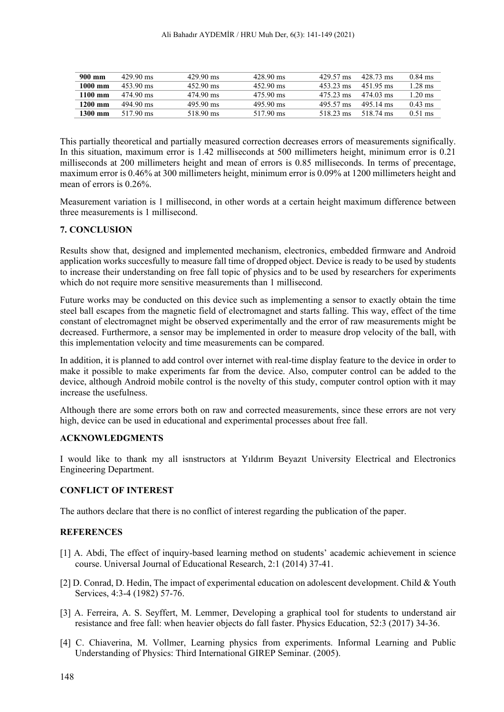| 900 mm  | $429.90 \text{ ms}$ | $429.90 \text{ ms}$ | 428.90 ms           | 429.57 ms | 428.73 ms | $0.84$ ms         |
|---------|---------------------|---------------------|---------------------|-----------|-----------|-------------------|
| 1000 mm | $453.90 \text{ ms}$ | $452.90 \text{ ms}$ | $452.90 \text{ ms}$ | 453.23 ms | 451.95 ms | $1.28$ ms         |
| 1100 mm | 474.90 ms           | 474.90 ms           | $475.90 \text{ ms}$ | 475.23 ms | 474.03 ms | $1.20 \text{ ms}$ |
| 1200 mm | $494.90 \text{ ms}$ | 495.90 ms           | $495.90 \text{ ms}$ | 495.57 ms | 495.14 ms | $0.43 \text{ ms}$ |
| 1300 mm | 517.90 ms           | 518.90 ms           | 517.90 ms           | 518.23 ms | 518.74 ms | $0.51 \text{ ms}$ |
|         |                     |                     |                     |           |           |                   |

This partially theoretical and partially measured correction decreases errors of measurements significally. In this situation, maximum error is 1.42 milliseconds at 500 millimeters height, minimum error is 0.21 milliseconds at 200 millimeters height and mean of errors is 0.85 milliseconds. In terms of precentage, maximum error is 0.46% at 300 millimeters height, minimum error is 0.09% at 1200 millimeters height and mean of errors is 0.26%.

Measurement variation is 1 millisecond, in other words at a certain height maximum difference between three measurements is 1 millisecond.

# **7. CONCLUSION**

Results show that, designed and implemented mechanism, electronics, embedded firmware and Android application works succesfully to measure fall time of dropped object. Device is ready to be used by students to increase their understanding on free fall topic of physics and to be used by researchers for experiments which do not require more sensitive measurements than 1 millisecond.

Future works may be conducted on this device such as implementing a sensor to exactly obtain the time steel ball escapes from the magnetic field of electromagnet and starts falling. This way, effect of the time constant of electromagnet might be observed experimentally and the error of raw measurements might be decreased. Furthermore, a sensor may be implemented in order to measure drop velocity of the ball, with this implementation velocity and time measurements can be compared.

In addition, it is planned to add control over internet with real-time display feature to the device in order to make it possible to make experiments far from the device. Also, computer control can be added to the device, although Android mobile control is the novelty of this study, computer control option with it may increase the usefulness.

Although there are some errors both on raw and corrected measurements, since these errors are not very high, device can be used in educational and experimental processes about free fall.

## **ACKNOWLEDGMENTS**

I would like to thank my all isnstructors at Yıldırım Beyazıt University Electrical and Electronics Engineering Department.

## **CONFLICT OF INTEREST**

The authors declare that there is no conflict of interest regarding the publication of the paper.

## **REFERENCES**

- [1] A. Abdi, The effect of inquiry-based learning method on students' academic achievement in science course. Universal Journal of Educational Research, 2:1 (2014) 37-41.
- [2] D. Conrad, D. Hedin, The impact of experimental education on adolescent development. Child & Youth Services, 4:3-4 (1982) 57-76.
- [3] A. Ferreira, A. S. Seyffert, M. Lemmer, Developing a graphical tool for students to understand air resistance and free fall: when heavier objects do fall faster. Physics Education, 52:3 (2017) 34-36.
- [4] C. Chiaverina, M. Vollmer, Learning physics from experiments. Informal Learning and Public Understanding of Physics: Third International GIREP Seminar. (2005).